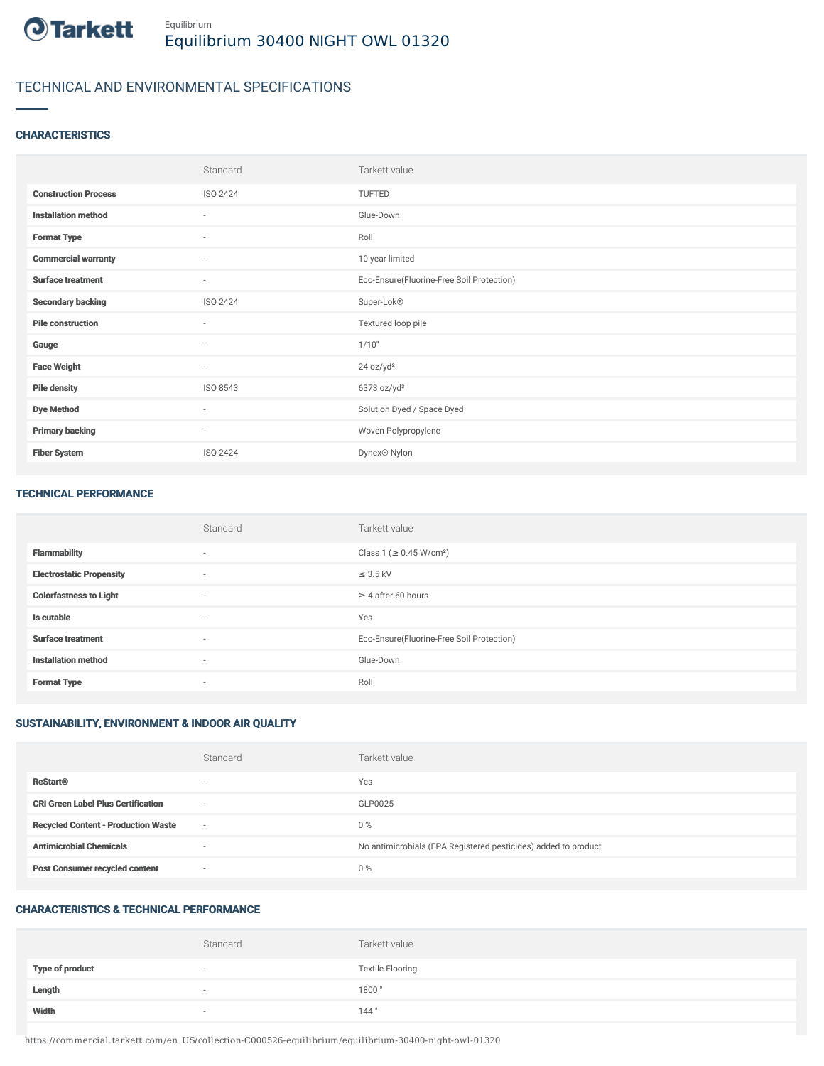

# TECHNICAL AND ENVIRONMENTAL SPECIFICATIONS

## **CHARACTERISTICS**

|                             | Standard                 | Tarkett value                             |
|-----------------------------|--------------------------|-------------------------------------------|
| <b>Construction Process</b> | ISO 2424                 | TUFTED                                    |
| <b>Installation method</b>  | $\sim$                   | Glue-Down                                 |
| <b>Format Type</b>          | $\sim$                   | Roll                                      |
| <b>Commercial warranty</b>  | $\overline{\phantom{a}}$ | 10 year limited                           |
| <b>Surface treatment</b>    | $\sim$                   | Eco-Ensure(Fluorine-Free Soil Protection) |
| <b>Secondary backing</b>    | ISO 2424                 | Super-Lok®                                |
| <b>Pile construction</b>    | $\sim$                   | Textured loop pile                        |
| Gauge                       | ×.                       | 1/10"                                     |
| <b>Face Weight</b>          | $\sim$                   | 24 oz/yd <sup>2</sup>                     |
| <b>Pile density</b>         | ISO 8543                 | $6373$ oz/yd <sup>3</sup>                 |
| <b>Dye Method</b>           | $\sim$                   | Solution Dyed / Space Dyed                |
| <b>Primary backing</b>      | $\sim$                   | Woven Polypropylene                       |
| <b>Fiber System</b>         | ISO 2424                 | Dynex® Nylon                              |

#### TECHNICAL PERFORMANCE

|                                 | Standard | Tarkett value                             |
|---------------------------------|----------|-------------------------------------------|
| <b>Flammability</b>             | $\sim$   | Class 1 ( $\geq$ 0.45 W/cm <sup>2</sup> ) |
| <b>Electrostatic Propensity</b> | $\sim$   | $\leq$ 3.5 kV                             |
| <b>Colorfastness to Light</b>   | $\sim$   | $\geq$ 4 after 60 hours                   |
| Is cutable                      | $\sim$   | Yes                                       |
| <b>Surface treatment</b>        | $\sim$   | Eco-Ensure(Fluorine-Free Soil Protection) |
| <b>Installation method</b>      | $\sim$   | Glue-Down                                 |
| <b>Format Type</b>              | $\sim$   | Roll                                      |

# SUSTAINABILITY, ENVIRONMENT & INDOOR AIR QUALITY

|                                            | Standard                 | Tarkett value                                                  |
|--------------------------------------------|--------------------------|----------------------------------------------------------------|
| <b>ReStart®</b>                            | $\overline{\phantom{a}}$ | Yes                                                            |
| <b>CRI Green Label Plus Certification</b>  | $\sim$                   | GLP0025                                                        |
| <b>Recycled Content - Production Waste</b> | $\sim$                   | $0\%$                                                          |
| <b>Antimicrobial Chemicals</b>             | -                        | No antimicrobials (EPA Registered pesticides) added to product |
| <b>Post Consumer recycled content</b>      | $\sim$                   | $0\%$                                                          |

## CHARACTERISTICS & TECHNICAL PERFORMANCE

|                        | Standard                 | Tarkett value           |
|------------------------|--------------------------|-------------------------|
| <b>Type of product</b> | $\overline{\phantom{a}}$ | <b>Textile Flooring</b> |
| Length                 |                          | 1800"                   |
| Width                  | $\sim$                   | 144"                    |

https://commercial.tarkett.com/en\_US/collection-C000526-equilibrium/equilibrium-30400-night-owl-01320